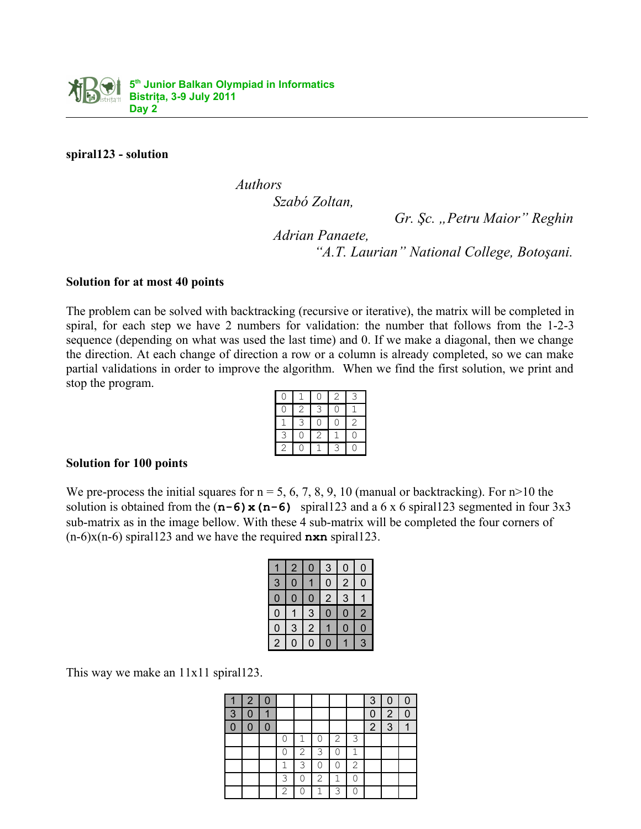

**spiral123 - solution**

*Authors* 

*Szabó Zoltan,*

*Gr. Şc. "Petru Maior" Reghin*

*Adrian Panaete, "A.T. Laurian" National College, Botoşani.*

## **Solution for at most 40 points**

The problem can be solved with backtracking (recursive or iterative), the matrix will be completed in spiral, for each step we have 2 numbers for validation: the number that follows from the 1-2-3 sequence (depending on what was used the last time) and 0. If we make a diagonal, then we change the direction. At each change of direction a row or a column is already completed, so we can make partial validations in order to improve the algorithm. When we find the first solution, we print and stop the program.

|                |              |              | $\mathbf{2}$ | 3              |
|----------------|--------------|--------------|--------------|----------------|
| Î              | $\mathbf{2}$ | 3            | ่า           |                |
|                | 3            | ่า           | C            | $\overline{c}$ |
| 3              |              | $\mathbf{2}$ |              | ſ              |
| $\overline{c}$ |              |              | 3            |                |

## **Solution for 100 points**

We pre-process the initial squares for  $n = 5, 6, 7, 8, 9, 10$  (manual or backtracking). For  $n > 10$  the solution is obtained from the  $(n-6) \times (n-6)$  spiral123 and a 6 x 6 spiral123 segmented in four 3x3 sub-matrix as in the image bellow. With these 4 sub-matrix will be completed the four corners of (n-6)x(n-6) spiral123 and we have the required **nxn** spiral123.

|                | $\overline{2}$ | 0              | 3              | 0              | 0              |
|----------------|----------------|----------------|----------------|----------------|----------------|
| 3              | $\overline{0}$ |                | $\overline{0}$ | $\overline{c}$ | $\overline{0}$ |
| $\overline{0}$ | $\overline{0}$ | 0              | $\overline{2}$ | 3              |                |
| $\overline{0}$ |                | 3              | 0              | 0              | $\overline{2}$ |
| $\overline{0}$ | 3              | $\overline{c}$ |                | $\overline{0}$ | $\overline{0}$ |
| $\overline{2}$ | N              | Ω              | 0              |                | 3              |

This way we make an 11x11 spiral123.

|   | $\overline{2}$ | $\Omega$ |     |   |   |                |   | 3              |                |  |
|---|----------------|----------|-----|---|---|----------------|---|----------------|----------------|--|
| 3 |                |          |     |   |   |                |   | 0              | $\overline{2}$ |  |
|   | 0              | 0        |     |   |   |                |   | $\overline{2}$ | 3              |  |
|   |                |          |     | 1 |   | $\overline{2}$ | 3 |                |                |  |
|   |                |          | ( ) | 2 | 3 | Λ              |   |                |                |  |
|   |                |          |     | 3 |   | Ω              | 2 |                |                |  |
|   |                |          | 3   | ∩ | 2 | 1              |   |                |                |  |
|   |                |          | 2   | Ω |   | 3              |   |                |                |  |